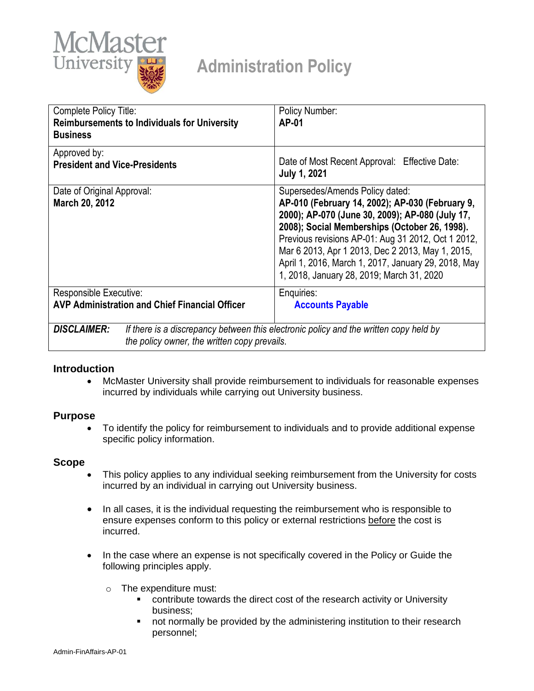

# **Administration Policy**

| Complete Policy Title:<br><b>Reimbursements to Individuals for University</b><br><b>Business</b> | Policy Number:<br>AP-01                                                                                                                                                                                                                                                                                                                                                                              |
|--------------------------------------------------------------------------------------------------|------------------------------------------------------------------------------------------------------------------------------------------------------------------------------------------------------------------------------------------------------------------------------------------------------------------------------------------------------------------------------------------------------|
| Approved by:<br><b>President and Vice-Presidents</b>                                             | Date of Most Recent Approval: Effective Date:<br><b>July 1, 2021</b>                                                                                                                                                                                                                                                                                                                                 |
| Date of Original Approval:<br>March 20, 2012                                                     | Supersedes/Amends Policy dated:<br>AP-010 (February 14, 2002); AP-030 (February 9,<br>2000); AP-070 (June 30, 2009); AP-080 (July 17,<br>2008); Social Memberships (October 26, 1998).<br>Previous revisions AP-01: Aug 31 2012, Oct 1 2012,<br>Mar 6 2013, Apr 1 2013, Dec 2 2013, May 1, 2015,<br>April 1, 2016, March 1, 2017, January 29, 2018, May<br>1, 2018, January 28, 2019; March 31, 2020 |
| Responsible Executive:                                                                           | Enquiries:                                                                                                                                                                                                                                                                                                                                                                                           |
| <b>AVP Administration and Chief Financial Officer</b>                                            | <b>Accounts Payable</b>                                                                                                                                                                                                                                                                                                                                                                              |
| <b>DISCLAIMER:</b><br>the policy owner, the written copy prevails.                               | If there is a discrepancy between this electronic policy and the written copy held by                                                                                                                                                                                                                                                                                                                |

## **Introduction**

 McMaster University shall provide reimbursement to individuals for reasonable expenses incurred by individuals while carrying out University business.

### **Purpose**

 To identify the policy for reimbursement to individuals and to provide additional expense specific policy information.

### **Scope**

- This policy applies to any individual seeking reimbursement from the University for costs incurred by an individual in carrying out University business.
- In all cases, it is the individual requesting the reimbursement who is responsible to ensure expenses conform to this policy or external restrictions before the cost is incurred.
- In the case where an expense is not specifically covered in the Policy or Guide the following principles apply.
	- o The expenditure must:
		- contribute towards the direct cost of the research activity or University business;
		- **•** not normally be provided by the administering institution to their research personnel;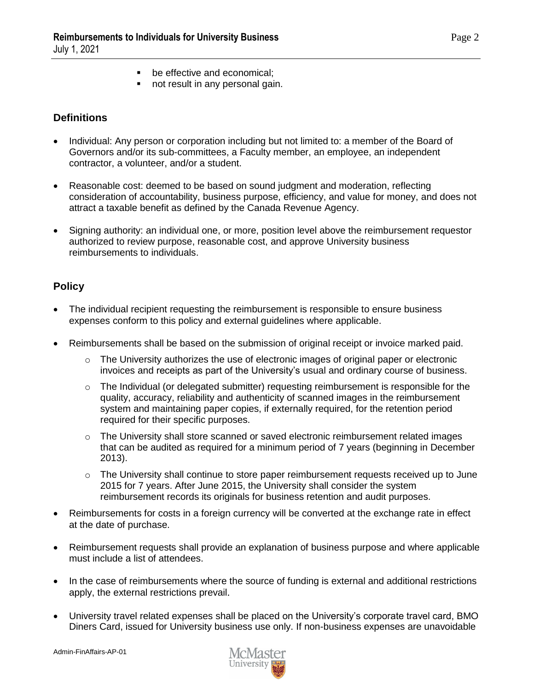- **be effective and economical:**
- not result in any personal gain.

# **Definitions**

- Individual: Any person or corporation including but not limited to: a member of the Board of Governors and/or its sub-committees, a Faculty member, an employee, an independent contractor, a volunteer, and/or a student.
- Reasonable cost: deemed to be based on sound judgment and moderation, reflecting consideration of accountability, business purpose, efficiency, and value for money, and does not attract a taxable benefit as defined by the Canada Revenue Agency.
- Signing authority: an individual one, or more, position level above the reimbursement requestor authorized to review purpose, reasonable cost, and approve University business reimbursements to individuals.

# **Policy**

- The individual recipient requesting the reimbursement is responsible to ensure business expenses conform to this policy and external guidelines where applicable.
- Reimbursements shall be based on the submission of original receipt or invoice marked paid.
	- $\circ$  The University authorizes the use of electronic images of original paper or electronic invoices and receipts as part of the University's usual and ordinary course of business.
	- $\circ$  The Individual (or delegated submitter) requesting reimbursement is responsible for the quality, accuracy, reliability and authenticity of scanned images in the reimbursement system and maintaining paper copies, if externally required, for the retention period required for their specific purposes.
	- o The University shall store scanned or saved electronic reimbursement related images that can be audited as required for a minimum period of 7 years (beginning in December 2013).
	- $\circ$  The University shall continue to store paper reimbursement requests received up to June 2015 for 7 years. After June 2015, the University shall consider the system reimbursement records its originals for business retention and audit purposes.
- Reimbursements for costs in a foreign currency will be converted at the exchange rate in effect at the date of purchase.
- Reimbursement requests shall provide an explanation of business purpose and where applicable must include a list of attendees.
- In the case of reimbursements where the source of funding is external and additional restrictions apply, the external restrictions prevail.
- University travel related expenses shall be placed on the University's corporate travel card, BMO Diners Card, issued for University business use only. If non-business expenses are unavoidable

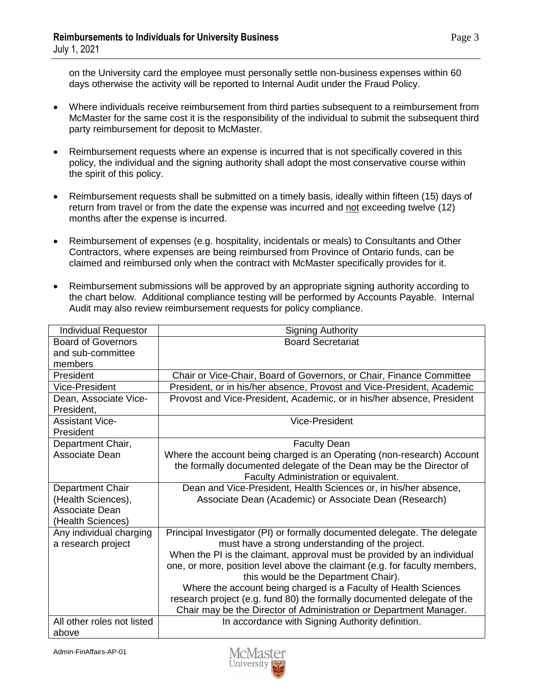on the University card the employee must personally settle non-business expenses within 60 days otherwise the activity will be reported to Internal Audit under the Fraud Policy.

- Where individuals receive reimbursement from third parties subsequent to a reimbursement from McMaster for the same cost it is the responsibility of the individual to submit the subsequent third party reimbursement for deposit to McMaster.
- Reimbursement requests where an expense is incurred that is not specifically covered in this policy, the individual and the signing authority shall adopt the most conservative course within the spirit of this policy.
- Reimbursement requests shall be submitted on a timely basis, ideally within fifteen (15) days of return from travel or from the date the expense was incurred and not exceeding twelve (12) months after the expense is incurred.
- Reimbursement of expenses (e.g. hospitality, incidentals or meals) to Consultants and Other Contractors, where expenses are being reimbursed from Province of Ontario funds, can be claimed and reimbursed only when the contract with McMaster specifically provides for it.
- Reimbursement submissions will be approved by an appropriate signing authority according to the chart below. Additional compliance testing will be performed by Accounts Payable. Internal Audit may also review reimbursement requests for policy compliance.

| <b>Individual Requestor</b>                   | <b>Signing Authority</b>                                                                                                      |
|-----------------------------------------------|-------------------------------------------------------------------------------------------------------------------------------|
| <b>Board of Governors</b>                     | <b>Board Secretariat</b>                                                                                                      |
| and sub-committee                             |                                                                                                                               |
| members                                       |                                                                                                                               |
| President                                     | Chair or Vice-Chair, Board of Governors, or Chair, Finance Committee                                                          |
| Vice-President                                | President, or in his/her absence, Provost and Vice-President, Academic                                                        |
| Dean, Associate Vice-                         | Provost and Vice-President, Academic, or in his/her absence, President                                                        |
| President,                                    |                                                                                                                               |
| <b>Assistant Vice-</b>                        | Vice-President                                                                                                                |
| President                                     |                                                                                                                               |
| Department Chair,                             | <b>Faculty Dean</b>                                                                                                           |
| Associate Dean                                | Where the account being charged is an Operating (non-research) Account                                                        |
|                                               | the formally documented delegate of the Dean may be the Director of                                                           |
|                                               | Faculty Administration or equivalent.                                                                                         |
| Department Chair                              | Dean and Vice-President, Health Sciences or, in his/her absence,                                                              |
| (Health Sciences),                            | Associate Dean (Academic) or Associate Dean (Research)                                                                        |
| Associate Dean                                |                                                                                                                               |
| (Health Sciences)                             |                                                                                                                               |
| Any individual charging<br>a research project | Principal Investigator (PI) or formally documented delegate. The delegate<br>must have a strong understanding of the project. |
|                                               | When the PI is the claimant, approval must be provided by an individual                                                       |
|                                               | one, or more, position level above the claimant (e.g. for faculty members,                                                    |
|                                               | this would be the Department Chair).                                                                                          |
|                                               | Where the account being charged is a Faculty of Health Sciences                                                               |
|                                               | research project (e.g. fund 80) the formally documented delegate of the                                                       |
|                                               | Chair may be the Director of Administration or Department Manager.                                                            |
| All other roles not listed                    | In accordance with Signing Authority definition.                                                                              |
| above                                         |                                                                                                                               |